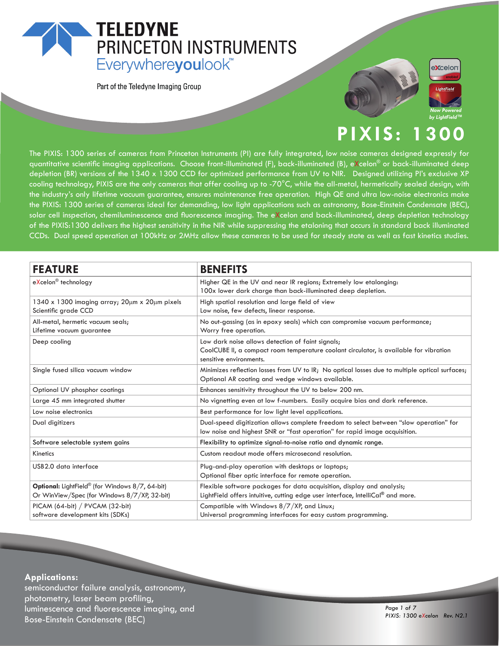## **TELEDYNE** PRINCETON INSTRUMENTS Everywhereyoulook<sup>"</sup>

Part of the Teledyne Imaging Group





#### XIS: 300

The PIXIS: 1300 series of cameras from Princeton Instruments (PI) are fully integrated, low noise cameras designed expressly for quantitative scientific imaging applications. Choose front-illuminated (F), back-illuminated (B), eXcelon® or back-illuminated deep depletion (BR) versions of the 1340 x 1300 CCD for optimized performance from UV to NIR. Designed utilizing PI's exclusive XP cooling technology, PIXIS are the only cameras that offer cooling up to -70°C, while the all-metal, hermetically sealed design, with the industry's only lifetime vacuum guarantee, ensures maintenance free operation. High QE and ultra low-noise electronics make the PIXIS: 1300 series of cameras ideal for demanding, low light applications such as astronomy, Bose-Einstein Condensate (BEC), solar cell inspection, chemiluminescence and fluorescence imaging. The eXcelon and back-illuminated, deep depletion technology of the PIXIS:1300 delivers the highest sensitivity in the NIR while suppressing the etaloning that occurs in standard back illuminated CCDs. Dual speed operation at 100kHz or 2MHz allow these cameras to be used for steady state as well as fast kinetics studies.

| <b>FEATURE</b>                                                                                                     | <b>BENEFITS</b>                                                                                                                                                        |  |  |
|--------------------------------------------------------------------------------------------------------------------|------------------------------------------------------------------------------------------------------------------------------------------------------------------------|--|--|
| eXcelon® technology                                                                                                | Higher QE in the UV and near IR regions; Extremely low etalonging:<br>100x lower dark charge than back-illuminated deep depletion.                                     |  |  |
| $1340 \times 1300$ imaging array; $20 \mu m \times 20 \mu m$ pixels<br>Scientific grade CCD                        | High spatial resolution and large field of view<br>Low noise, few defects, linear response.                                                                            |  |  |
| All-metal, hermetic vacuum seals;<br>Lifetime vacuum guarantee                                                     | No out-gassing (as in epoxy seals) which can compromise vacuum performance;<br>Worry free operation.                                                                   |  |  |
| Deep cooling                                                                                                       | Low dark noise allows detection of faint signals;<br>CoolCUBE II, a compact room temperature coolant circulator, is available for vibration<br>sensitive environments. |  |  |
| Single fused silica vacuum window                                                                                  | Minimizes reflection losses from UV to IR; No optical losses due to multiple optical surfaces;<br>Optional AR coating and wedge windows available.                     |  |  |
| Optional UV phosphor coatings                                                                                      | Enhances sensitivity throughout the UV to below 200 nm.                                                                                                                |  |  |
| Large 45 mm integrated shutter                                                                                     | No vignetting even at low f-numbers. Easily acquire bias and dark reference.                                                                                           |  |  |
| Low noise electronics                                                                                              | Best performance for low light level applications.                                                                                                                     |  |  |
| Dual digitizers                                                                                                    | Dual-speed digitization allows complete freedom to select between "slow operation" for<br>low noise and highest SNR or "fast operation" for rapid image acquisition.   |  |  |
| Software selectable system gains                                                                                   | Flexibility to optimize signal-to-noise ratio and dynamic range.                                                                                                       |  |  |
| <b>Kinetics</b>                                                                                                    | Custom readout mode offers microsecond resolution.                                                                                                                     |  |  |
| USB2.0 data interface                                                                                              | Plug-and-play operation with desktops or laptops;<br>Optional fiber optic interface for remote operation.                                                              |  |  |
| <b>Optional:</b> LightField <sup>®</sup> (for Windows 8/7, 64-bit)<br>Or WinView/Spec (for Windows 8/7/XP, 32-bit) | Flexible software packages for data acquisition, display and analysis;<br>LightField offers intuitive, cutting edge user interface, IntelliCal <sup>®</sup> and more.  |  |  |
| PICAM (64-bit) / PVCAM (32-bit)<br>software development kits (SDKs)                                                | Compatible with Windows 8/7/XP, and Linux;<br>Universal programming interfaces for easy custom programming.                                                            |  |  |

#### **Applications:**

semiconductor failure analysis, astronomy, photometry, laser beam profiling, luminescence and fluorescence imaging, and **Bose-Einstein Condensate (BEC)**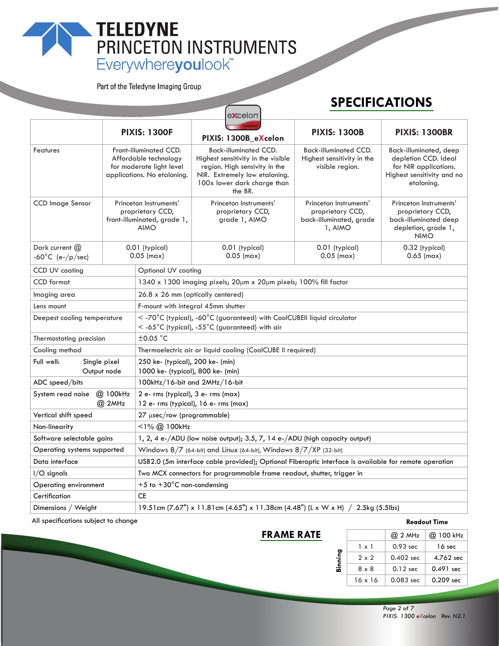# TELEDYNE<br>
PRINCETON INSTRUMENTS<br>
Everywhereyoulook"

Part of the Teledyne Imaging Group

## **SPECIFICATIONS**

|                                                    |                                                                                                            |                                                                                                                             | <b>EXCEIOLI</b>                                                                                                                                                                |                                                                                                       |                                                                                                                     |  |
|----------------------------------------------------|------------------------------------------------------------------------------------------------------------|-----------------------------------------------------------------------------------------------------------------------------|--------------------------------------------------------------------------------------------------------------------------------------------------------------------------------|-------------------------------------------------------------------------------------------------------|---------------------------------------------------------------------------------------------------------------------|--|
|                                                    |                                                                                                            | <b>PIXIS: 1300F</b>                                                                                                         | PIXIS: 1300B_eXcelon                                                                                                                                                           | <b>PIXIS: 1300B</b>                                                                                   | <b>PIXIS: 1300BR</b>                                                                                                |  |
| Features                                           | Front-illuminated CCD.<br>Affordable technology<br>for moderate light level<br>applications. No etaloning. |                                                                                                                             | <b>Back-illuminated CCD.</b><br>Highest sensitivity in the visible<br>region. High sensivity in the<br>NIR. Extremely low etaloning.<br>100x lower dark charge than<br>the BR. | <b>Back-illuminated CCD.</b><br>Highest sensitivity in the<br>visible region.                         | Back-illuminated, deep<br>depletion CCD. Ideal<br>for NIR applications.<br>Highest sensitivity and no<br>etaloning. |  |
| <b>CCD Image Sensor</b>                            | Princeton Instruments'<br>proprietary CCD,<br>front-illuminated, grade 1,<br><b>AIMO</b>                   |                                                                                                                             | Princeton Instruments'<br>proprietary CCD,<br>grade 1, AIMO                                                                                                                    | Princeton Instruments'<br>proprietary CCD,<br>back-illuminated, grade<br>1, AIMO                      | Princeton Instruments'<br>proprietary CCD,<br>back-illuminated deep<br>depletion, grade 1,<br><b>NIMO</b>           |  |
| Dark current $@$<br>-60°C (e-/p/sec)               |                                                                                                            | 0.01 (typical)<br>$0.05$ (max)                                                                                              | 0.01 (typical)<br>$0.05$ (max)                                                                                                                                                 | 0.01 (typical)<br>$0.05$ (max)                                                                        | 0.32 (typical)<br>$0.65$ (max)                                                                                      |  |
| CCD UV coating                                     | Optional UV coating                                                                                        |                                                                                                                             |                                                                                                                                                                                |                                                                                                       |                                                                                                                     |  |
| <b>CCD</b> format                                  |                                                                                                            |                                                                                                                             | 1340 x 1300 imaging pixels; 20um x 20um pixels; 100% fill factor                                                                                                               |                                                                                                       |                                                                                                                     |  |
| lmaging area                                       |                                                                                                            |                                                                                                                             | 26.8 x 26 mm (optically centered)                                                                                                                                              |                                                                                                       |                                                                                                                     |  |
| Lens mount                                         |                                                                                                            |                                                                                                                             | F-mount with integral 45mm shutter                                                                                                                                             |                                                                                                       |                                                                                                                     |  |
| Deepest cooling temperature                        |                                                                                                            | < -70°C (typical), -60°C (guaranteed) with CoolCUBEII liquid circulator<br>$<$ -65°C (typical), -55°C (guaranteed) with air |                                                                                                                                                                                |                                                                                                       |                                                                                                                     |  |
| Thermostating precision                            |                                                                                                            | $±0.05$ °C                                                                                                                  |                                                                                                                                                                                |                                                                                                       |                                                                                                                     |  |
| Cooling method                                     |                                                                                                            | Thermoelectric air or liquid cooling (CoolCUBE II required)                                                                 |                                                                                                                                                                                |                                                                                                       |                                                                                                                     |  |
| Full well:<br>Single pixel<br>Output node          |                                                                                                            | 250 ke- (typical), 200 ke- (min)<br>1000 ke- (typical), 800 ke- (min)                                                       |                                                                                                                                                                                |                                                                                                       |                                                                                                                     |  |
| ADC speed/bits                                     |                                                                                                            | 100kHz/16-bit and 2MHz/16-bit                                                                                               |                                                                                                                                                                                |                                                                                                       |                                                                                                                     |  |
| System read noise<br>@ 100kHz<br>$@$ 2MHz          |                                                                                                            | 2 e- rms (typical), 3 e- rms (max)<br>12 e- rms (typical), 16 e- rms (max)                                                  |                                                                                                                                                                                |                                                                                                       |                                                                                                                     |  |
| Vertical shift speed<br>27 µsec/row (programmable) |                                                                                                            |                                                                                                                             |                                                                                                                                                                                |                                                                                                       |                                                                                                                     |  |
| Non-linearity                                      |                                                                                                            | <1% @ 100kHz                                                                                                                |                                                                                                                                                                                |                                                                                                       |                                                                                                                     |  |
|                                                    | Software selectable gains                                                                                  |                                                                                                                             | 1, 2, 4 e-/ADU (low noise output); 3.5, 7, 14 e-/ADU (high capacity output)                                                                                                    |                                                                                                       |                                                                                                                     |  |
| Operating systems supported                        |                                                                                                            | Windows $8/7$ (64-bit) and Linux (64-bit), Windows $8/7/XP$ (32-bit)                                                        |                                                                                                                                                                                |                                                                                                       |                                                                                                                     |  |
| Data interface                                     |                                                                                                            |                                                                                                                             |                                                                                                                                                                                | USB2.0 (5m interface cable provided); Optional Fiberoptic interface is available for remote operation |                                                                                                                     |  |
| I/O signals                                        |                                                                                                            |                                                                                                                             | Two MCX connectors for programmable frame readout, shutter, trigger in                                                                                                         |                                                                                                       |                                                                                                                     |  |
| Operating environment                              |                                                                                                            | +5 to $+30^{\circ}$ C non-condensing                                                                                        |                                                                                                                                                                                |                                                                                                       |                                                                                                                     |  |
| Certification                                      |                                                                                                            | CE                                                                                                                          |                                                                                                                                                                                |                                                                                                       |                                                                                                                     |  |
| Dimensions / Weight                                |                                                                                                            | 19.51cm (7.67") x 11.81cm (4.65") x 11.38cm (4.48") (L x W x H) / 2.5kg (5.5lbs)                                            |                                                                                                                                                                                |                                                                                                       |                                                                                                                     |  |

 $\sqrt{1 + \left( \frac{1}{2} \right)^2 + \left( \frac{1}{2} \right)^2}$ 

All specifications subject to change

### **FRAME RATE**

#### **Readout Time**

|         |                | $@$ 2 MHz   | @ 100 kHz   |
|---------|----------------|-------------|-------------|
| Binning | 1 x 1          | $0.93$ sec  | 16 sec      |
|         | $2 \times 2$   | $0.402$ sec | 4.762 sec   |
|         | 8 x 8          | $0.12$ sec  | $0.491$ sec |
|         | $16 \times 16$ | $0.083$ sec | $0.209$ sec |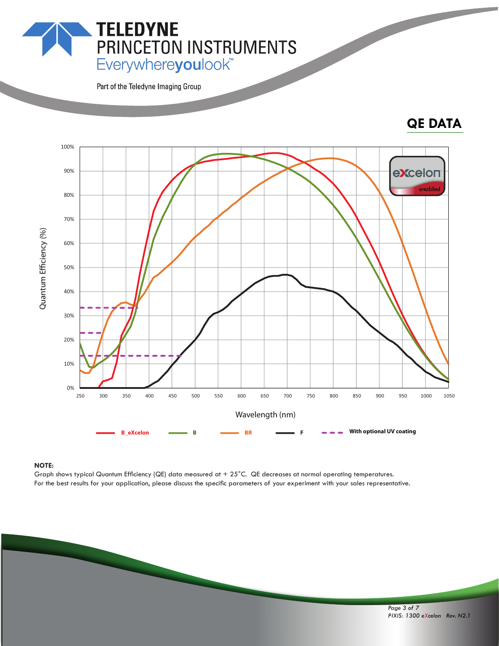**PRINCETON INSTRUMENTS**<br>Everywhereyoulook"

Part of the Teledyne Imaging Group

**TELEDYNE** 

## **QE DATA**



#### **NOTE:**

Graph shows typical Quantum Efficiency (QE) data measured at  $+25^{\circ}$ C. QE decreases at normal operating temperatures. For the best results for your application, please discuss the specific parameters of your experiment with your sales representative.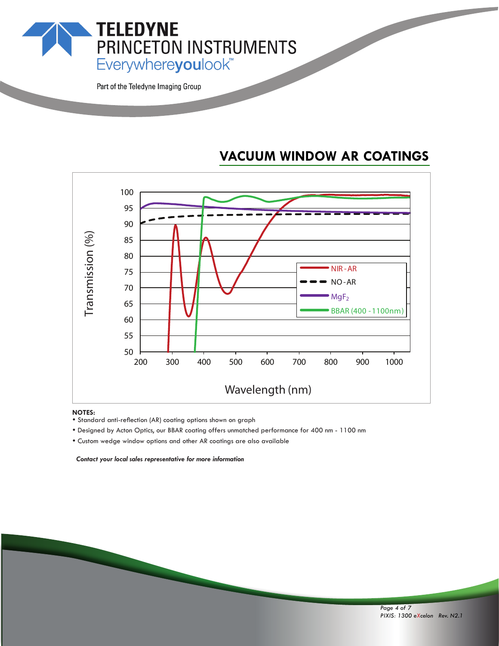**TELEDYNE** PRINCETON INSTRUMENTS Everywhereyoulook<sup>"</sup>

Part of the Teledyne Imaging Group

## **VACUUM WINDOW AR COATINGS**



- **NOTES:**<br>• Standard anti-reflection (AR) coating options shown on graph
- \* Designed by Acton Optics, our BBAR coating offers unmatched performance for 400 nm 1100 nm
- Custom wedge window options and other AR coatings are also available

 *Contact your local sales representative for more information*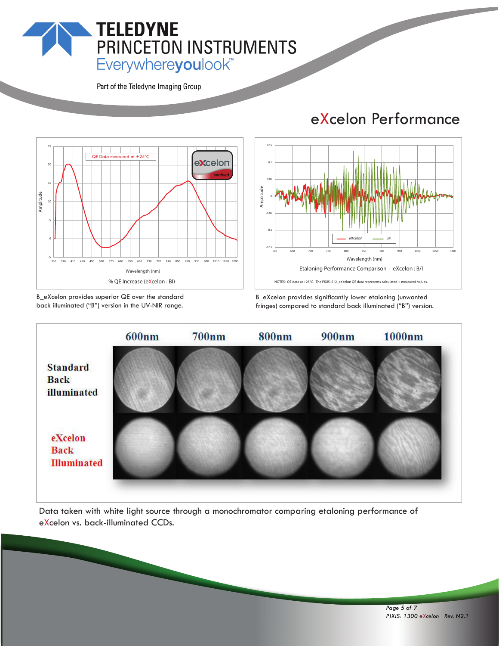## **TELEDYNE** PRINCETON INSTRUMENTS Everywhereyoulook<sup>"</sup>

Part of the Teledyne Imaging Group



B\_eXcelon provides superior QE over the standard back illuminated ("B") version in the UV-NIR range.

## eXcelon Performance



B\_eXcelon provides significantly lower etaloning (unwanted fringes) compared to standard back illuminated ("B") version.



Data taken with white light source through a monochromator comparing etaloning performance of eXcelon vs. back-illuminated CCDs.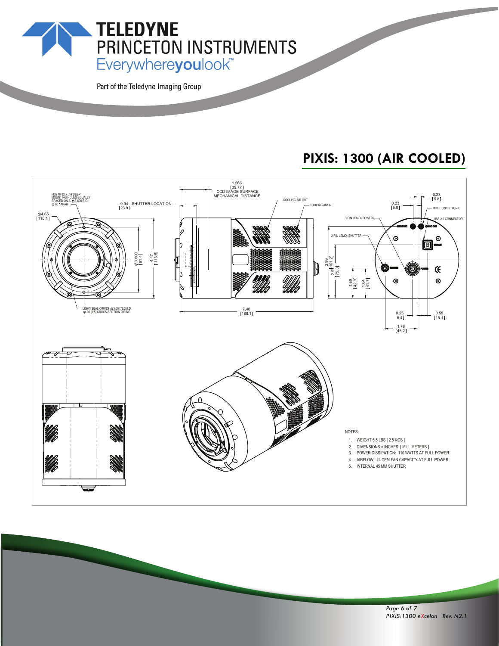Everywhereyoulook<sup>\*\*</sup>

PRINCETON INSTRUMENTS

Part of the Teledyne Imaging Group

**TELEDYNE** 

## **PIXIS: 1300 (AIR COOLED)**